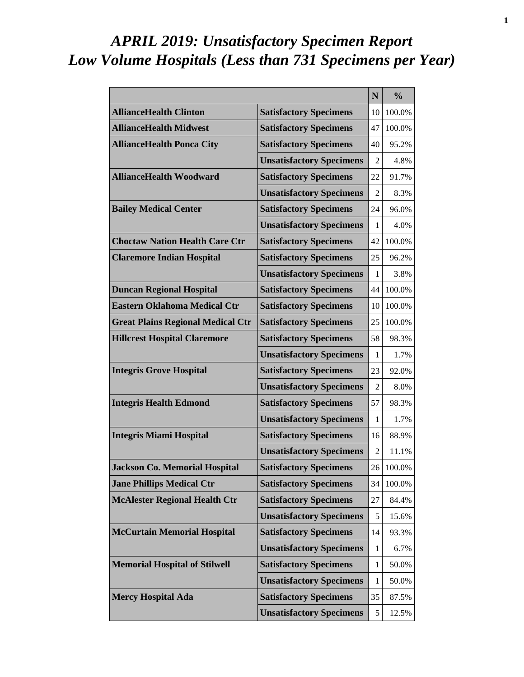# *APRIL 2019: Unsatisfactory Specimen Report Low Volume Hospitals (Less than 731 Specimens per Year)*

|                                          |                                 | N              | $\frac{0}{0}$ |
|------------------------------------------|---------------------------------|----------------|---------------|
| <b>AllianceHealth Clinton</b>            | <b>Satisfactory Specimens</b>   | 10             | 100.0%        |
| <b>AllianceHealth Midwest</b>            | <b>Satisfactory Specimens</b>   | 47             | 100.0%        |
| <b>AllianceHealth Ponca City</b>         | <b>Satisfactory Specimens</b>   | 40             | 95.2%         |
|                                          | <b>Unsatisfactory Specimens</b> | 2              | 4.8%          |
| <b>AllianceHealth Woodward</b>           | <b>Satisfactory Specimens</b>   | 22             | 91.7%         |
|                                          | <b>Unsatisfactory Specimens</b> | $\overline{2}$ | 8.3%          |
| <b>Bailey Medical Center</b>             | <b>Satisfactory Specimens</b>   | 24             | 96.0%         |
|                                          | <b>Unsatisfactory Specimens</b> | 1              | 4.0%          |
| <b>Choctaw Nation Health Care Ctr</b>    | <b>Satisfactory Specimens</b>   | 42             | 100.0%        |
| <b>Claremore Indian Hospital</b>         | <b>Satisfactory Specimens</b>   | 25             | 96.2%         |
|                                          | <b>Unsatisfactory Specimens</b> | 1              | 3.8%          |
| <b>Duncan Regional Hospital</b>          | <b>Satisfactory Specimens</b>   | 44             | 100.0%        |
| <b>Eastern Oklahoma Medical Ctr</b>      | <b>Satisfactory Specimens</b>   | 10             | 100.0%        |
| <b>Great Plains Regional Medical Ctr</b> | <b>Satisfactory Specimens</b>   | 25             | 100.0%        |
| <b>Hillcrest Hospital Claremore</b>      | <b>Satisfactory Specimens</b>   | 58             | 98.3%         |
|                                          | <b>Unsatisfactory Specimens</b> | 1              | 1.7%          |
| <b>Integris Grove Hospital</b>           | <b>Satisfactory Specimens</b>   | 23             | 92.0%         |
|                                          | <b>Unsatisfactory Specimens</b> | 2              | 8.0%          |
| <b>Integris Health Edmond</b>            | <b>Satisfactory Specimens</b>   | 57             | 98.3%         |
|                                          | <b>Unsatisfactory Specimens</b> | 1              | 1.7%          |
| <b>Integris Miami Hospital</b>           | <b>Satisfactory Specimens</b>   | 16             | 88.9%         |
|                                          | <b>Unsatisfactory Specimens</b> | $\overline{2}$ | 11.1%         |
| <b>Jackson Co. Memorial Hospital</b>     | <b>Satisfactory Specimens</b>   | 26             | 100.0%        |
| <b>Jane Phillips Medical Ctr</b>         | <b>Satisfactory Specimens</b>   | 34             | 100.0%        |
| <b>McAlester Regional Health Ctr</b>     | <b>Satisfactory Specimens</b>   | 27             | 84.4%         |
|                                          | <b>Unsatisfactory Specimens</b> | 5              | 15.6%         |
| <b>McCurtain Memorial Hospital</b>       | <b>Satisfactory Specimens</b>   | 14             | 93.3%         |
|                                          | <b>Unsatisfactory Specimens</b> | 1              | 6.7%          |
| <b>Memorial Hospital of Stilwell</b>     | <b>Satisfactory Specimens</b>   | $\mathbf{1}$   | 50.0%         |
|                                          | <b>Unsatisfactory Specimens</b> | 1              | 50.0%         |
| <b>Mercy Hospital Ada</b>                | <b>Satisfactory Specimens</b>   | 35             | 87.5%         |
|                                          | <b>Unsatisfactory Specimens</b> | 5              | 12.5%         |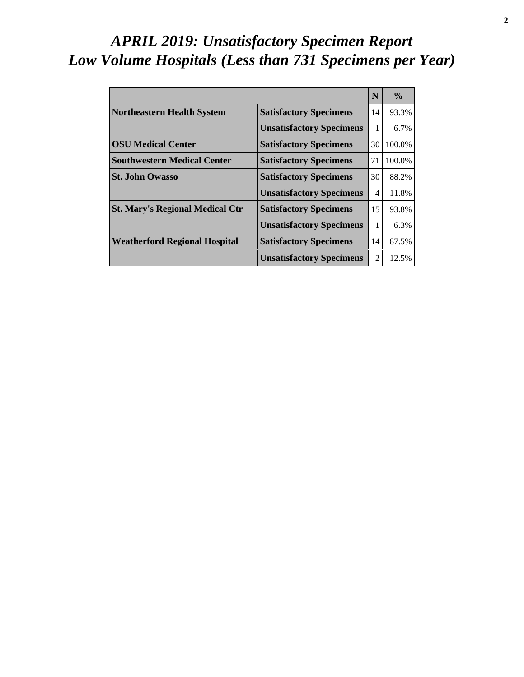# *APRIL 2019: Unsatisfactory Specimen Report Low Volume Hospitals (Less than 731 Specimens per Year)*

|                                        |                                 | N  | $\frac{0}{0}$ |
|----------------------------------------|---------------------------------|----|---------------|
| <b>Northeastern Health System</b>      | <b>Satisfactory Specimens</b>   | 14 | 93.3%         |
|                                        | <b>Unsatisfactory Specimens</b> | 1  | $6.7\%$       |
| <b>OSU Medical Center</b>              | <b>Satisfactory Specimens</b>   | 30 | 100.0%        |
| <b>Southwestern Medical Center</b>     | <b>Satisfactory Specimens</b>   | 71 | 100.0%        |
| <b>St. John Owasso</b>                 | <b>Satisfactory Specimens</b>   | 30 | 88.2%         |
|                                        | <b>Unsatisfactory Specimens</b> | 4  | 11.8%         |
| <b>St. Mary's Regional Medical Ctr</b> | <b>Satisfactory Specimens</b>   | 15 | 93.8%         |
|                                        | <b>Unsatisfactory Specimens</b> | 1  | 6.3%          |
| <b>Weatherford Regional Hospital</b>   | <b>Satisfactory Specimens</b>   | 14 | 87.5%         |
|                                        | <b>Unsatisfactory Specimens</b> | 2  | 12.5%         |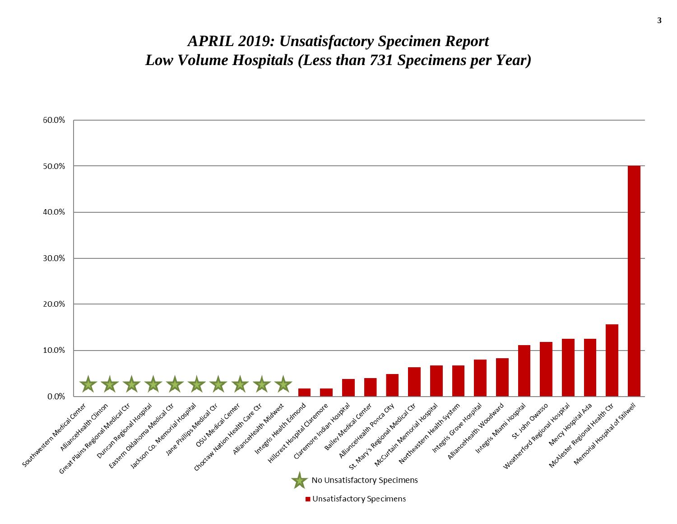#### *APRIL 2019: Unsatisfactory Specimen Report Low Volume Hospitals (Less than 731 Specimens per Year)*

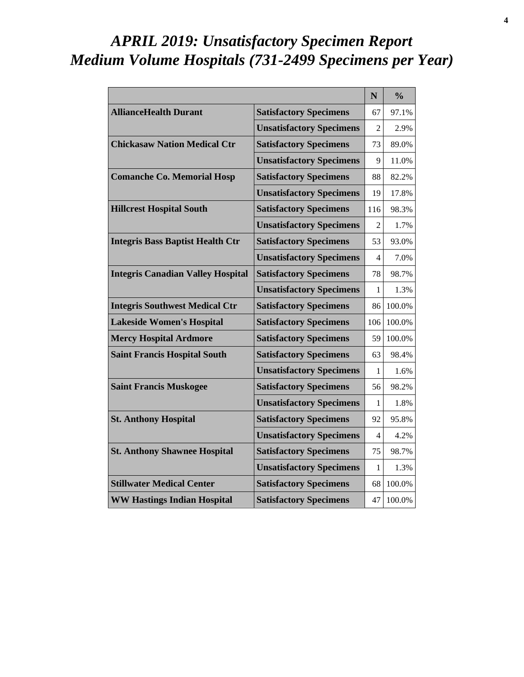# *APRIL 2019: Unsatisfactory Specimen Report Medium Volume Hospitals (731-2499 Specimens per Year)*

|                                          |                                 | ${\bf N}$      | $\frac{0}{0}$ |
|------------------------------------------|---------------------------------|----------------|---------------|
| <b>AllianceHealth Durant</b>             | <b>Satisfactory Specimens</b>   | 67             | 97.1%         |
|                                          | <b>Unsatisfactory Specimens</b> | 2              | 2.9%          |
| <b>Chickasaw Nation Medical Ctr</b>      | <b>Satisfactory Specimens</b>   | 73             | 89.0%         |
|                                          | <b>Unsatisfactory Specimens</b> | 9              | 11.0%         |
| <b>Comanche Co. Memorial Hosp</b>        | <b>Satisfactory Specimens</b>   | 88             | 82.2%         |
|                                          | <b>Unsatisfactory Specimens</b> | 19             | 17.8%         |
| <b>Hillcrest Hospital South</b>          | <b>Satisfactory Specimens</b>   | 116            | 98.3%         |
|                                          | <b>Unsatisfactory Specimens</b> | $\mathfrak{D}$ | 1.7%          |
| <b>Integris Bass Baptist Health Ctr</b>  | <b>Satisfactory Specimens</b>   | 53             | 93.0%         |
|                                          | <b>Unsatisfactory Specimens</b> | 4              | 7.0%          |
| <b>Integris Canadian Valley Hospital</b> | <b>Satisfactory Specimens</b>   | 78             | 98.7%         |
|                                          | <b>Unsatisfactory Specimens</b> | 1              | 1.3%          |
| <b>Integris Southwest Medical Ctr</b>    | <b>Satisfactory Specimens</b>   | 86             | 100.0%        |
| <b>Lakeside Women's Hospital</b>         | <b>Satisfactory Specimens</b>   | 106            | 100.0%        |
| <b>Mercy Hospital Ardmore</b>            | <b>Satisfactory Specimens</b>   | 59             | 100.0%        |
| <b>Saint Francis Hospital South</b>      | <b>Satisfactory Specimens</b>   | 63             | 98.4%         |
|                                          | <b>Unsatisfactory Specimens</b> | 1              | 1.6%          |
| <b>Saint Francis Muskogee</b>            | <b>Satisfactory Specimens</b>   | 56             | 98.2%         |
|                                          | <b>Unsatisfactory Specimens</b> | 1              | 1.8%          |
| <b>St. Anthony Hospital</b>              | <b>Satisfactory Specimens</b>   | 92             | 95.8%         |
|                                          | <b>Unsatisfactory Specimens</b> | 4              | 4.2%          |
| <b>St. Anthony Shawnee Hospital</b>      | <b>Satisfactory Specimens</b>   | 75             | 98.7%         |
|                                          | <b>Unsatisfactory Specimens</b> | 1              | 1.3%          |
| <b>Stillwater Medical Center</b>         | <b>Satisfactory Specimens</b>   | 68             | 100.0%        |
| <b>WW Hastings Indian Hospital</b>       | <b>Satisfactory Specimens</b>   | 47             | 100.0%        |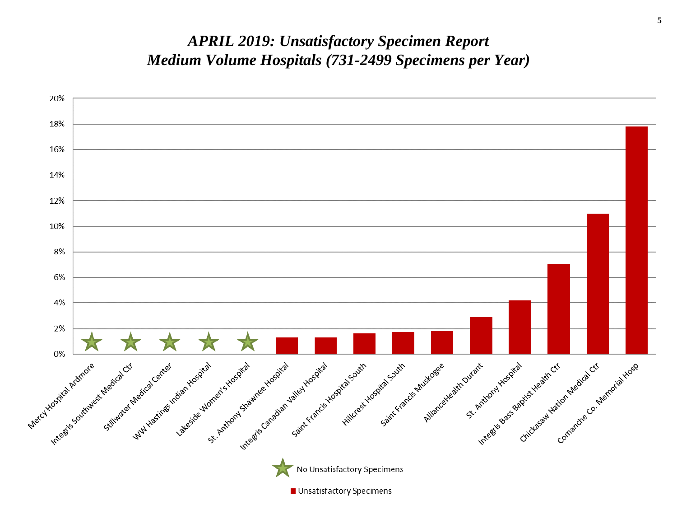#### *APRIL 2019: Unsatisfactory Specimen Report Medium Volume Hospitals (731-2499 Specimens per Year)*

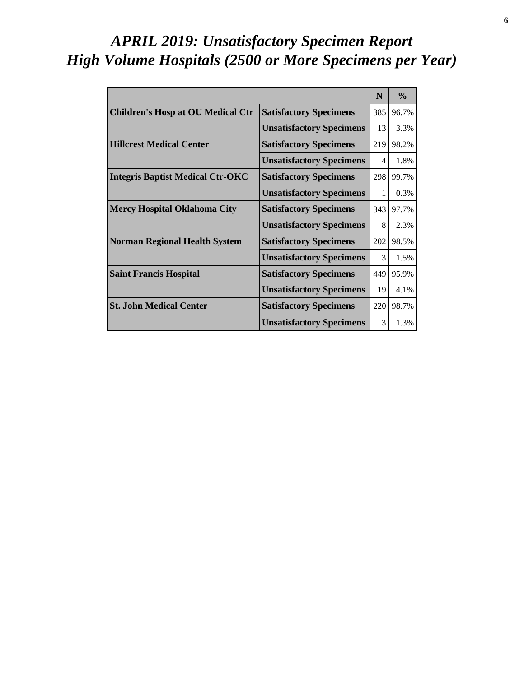# *APRIL 2019: Unsatisfactory Specimen Report High Volume Hospitals (2500 or More Specimens per Year)*

|                                          |                                 | N   | $\frac{6}{6}$ |
|------------------------------------------|---------------------------------|-----|---------------|
| <b>Children's Hosp at OU Medical Ctr</b> | <b>Satisfactory Specimens</b>   | 385 | 96.7%         |
|                                          | <b>Unsatisfactory Specimens</b> | 13  | 3.3%          |
| <b>Hillcrest Medical Center</b>          | <b>Satisfactory Specimens</b>   | 219 | 98.2%         |
|                                          | <b>Unsatisfactory Specimens</b> | 4   | 1.8%          |
| <b>Integris Baptist Medical Ctr-OKC</b>  | <b>Satisfactory Specimens</b>   | 298 | 99.7%         |
|                                          | <b>Unsatisfactory Specimens</b> | 1   | 0.3%          |
| <b>Mercy Hospital Oklahoma City</b>      | <b>Satisfactory Specimens</b>   | 343 | 97.7%         |
|                                          | <b>Unsatisfactory Specimens</b> | 8   | 2.3%          |
| <b>Norman Regional Health System</b>     | <b>Satisfactory Specimens</b>   | 202 | 98.5%         |
|                                          | <b>Unsatisfactory Specimens</b> | 3   | 1.5%          |
| <b>Saint Francis Hospital</b>            | <b>Satisfactory Specimens</b>   | 449 | 95.9%         |
|                                          | <b>Unsatisfactory Specimens</b> | 19  | 4.1%          |
| <b>St. John Medical Center</b>           | <b>Satisfactory Specimens</b>   | 220 | 98.7%         |
|                                          | <b>Unsatisfactory Specimens</b> | 3   | 1.3%          |